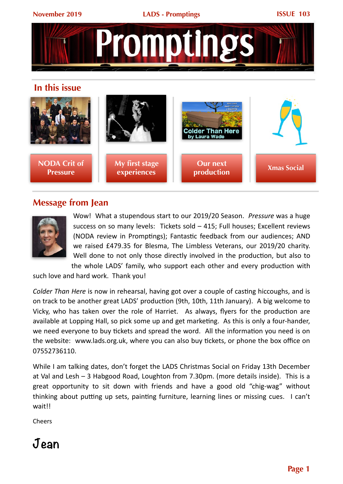



## **Message from Jean**



Wow! What a stupendous start to our 2019/20 Season. *Pressure* was a huge success on so many levels: Tickets sold  $-$  415; Full houses; Excellent reviews (NODA review in Promptings): Fantastic feedback from our audiences: AND we raised £479.35 for Blesma, The Limbless Veterans, our 2019/20 charity. Well done to not only those directly involved in the production, but also to the whole LADS' family, who support each other and every production with

such love and hard work. Thank you!

*Colder* Than Here is now in rehearsal, having got over a couple of casting hiccoughs, and is on track to be another great LADS' production (9th, 10th, 11th January). A big welcome to Vicky, who has taken over the role of Harriet. As always, flyers for the production are available at Lopping Hall, so pick some up and get marketing. As this is only a four-hander, we need everyone to buy tickets and spread the word. All the information you need is on the website: www.lads.org.uk, where you can also buy tickets, or phone the box office on 07552736110. 

While I am talking dates, don't forget the LADS Christmas Social on Friday 13th December at Val and Lesh  $-3$  Habgood Road, Loughton from 7.30pm. (more details inside). This is a great opportunity to sit down with friends and have a good old "chig-wag" without thinking about putting up sets, painting furniture, learning lines or missing cues. I can't wait!!

**Cheers** 

## **Jean**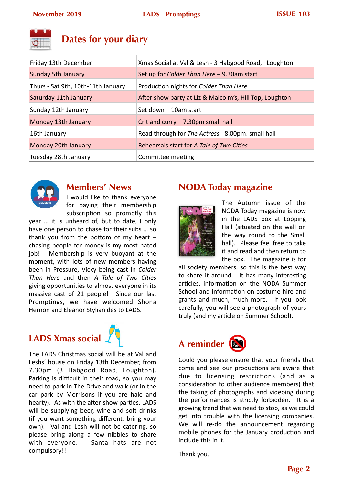

## **Dates for your diary**

| Friday 13th December               | Xmas Social at Val & Lesh - 3 Habgood Road, Loughton    |
|------------------------------------|---------------------------------------------------------|
| Sunday 5th January                 | Set up for Colder Than Here - 9.30am start              |
| Thurs - Sat 9th, 10th-11th January | Production nights for Colder Than Here                  |
| Saturday 11th January              | After show party at Liz & Malcolm's, Hill Top, Loughton |
| Sunday 12th January                | Set down - 10am start                                   |
| Monday 13th January                | Crit and curry $- 7.30 \text{pm}$ small hall            |
| 16th January                       | Read through for The Actress - 8.00pm, small hall       |
| Monday 20th January                | Rehearsals start for A Tale of Two Cities               |
| Tuesday 28th January               | Committee meeting                                       |



## **Members' News**

I would like to thank everyone for paying their membership subscription so promptly this

year ... it is unheard of, but to date, I only have one person to chase for their subs ... so thank you from the bottom of my heart  $$ chasing people for money is my most hated job! Membership is very buoyant at the moment, with lots of new members having been in Pressure, Vicky being cast in *Colder Than Here* and then *A Tale of Two Cities* giving opportunities to almost everyone in its massive cast of 21 people! Since our last Promptings, we have welcomed Shona Hernon and Eleanor Stylianides to LADS.





The LADS Christmas social will be at Val and Leshs' house on Friday 13th December, from 7.30pm (3 Habgood Road, Loughton). Parking is difficult in their road, so you may need to park in The Drive and walk (or in the car park by Morrisons if you are hale and hearty). As with the after-show parties, LADS will be supplying beer, wine and soft drinks (if you want something different, bring your own). Val and Lesh will not be catering, so please bring along a few nibbles to share with everyone. Santa hats are not compulsory!! 

## **NODA Today magazine**



The Autumn issue of the NODA Today magazine is now in the LADS box at Lopping Hall (situated on the wall on the way round to the Small hall). Please feel free to take it and read and then return to the box. The magazine is for

all society members, so this is the best way to share it around. It has many interesting articles, information on the NODA Summer School and information on costume hire and grants and much, much more. If you look carefully, you will see a photograph of yours truly (and my article on Summer School).

# **A reminder**



Could you please ensure that your friends that come and see our productions are aware that due to licensing restrictions (and as a consideration to other audience members) that the taking of photographs and videoing during the performances is strictly forbidden. It is a growing trend that we need to stop, as we could get into trouble with the licensing companies. We will re-do the announcement regarding mobile phones for the January production and include this in it.

Thank you.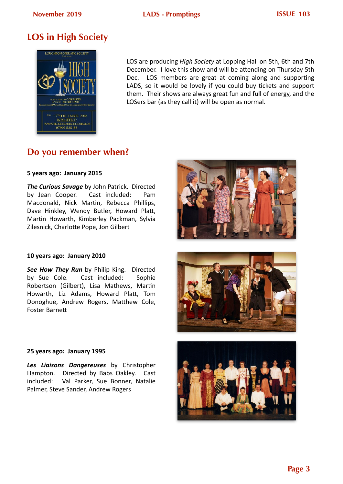## **LOS in High Society**



LOS are producing *High Society* at Lopping Hall on 5th, 6th and 7th December. I love this show and will be attending on Thursday 5th Dec. LOS members are great at coming along and supporting LADS, so it would be lovely if you could buy tickets and support them. Their shows are always great fun and full of energy, and the LOSers bar (as they call it) will be open as normal.

## **Do you remember when?**

#### **5 years ago: January 2015**

**The Curious Savage** by John Patrick. Directed by Jean Cooper. Cast included: Pam Macdonald, Nick Martin, Rebecca Phillips, Dave Hinkley, Wendy Butler, Howard Platt, Martin Howarth, Kimberley Packman, Sylvia Zilesnick, Charlotte Pope, Jon Gilbert

#### **10 years ago: January 2010**

**See How They Run** by Philip King. Directed by Sue Cole. Cast included: Sophie Robertson (Gilbert), Lisa Mathews, Martin Howarth, Liz Adams, Howard Platt, Tom Donoghue, Andrew Rogers, Matthew Cole, **Foster Barnett** 





#### **25 years ago: January 1995**

**Les Liaisons Dangereuses** by Christopher Hampton. Directed by Babs Oakley. Cast included: Val Parker, Sue Bonner, Natalie Palmer, Steve Sander, Andrew Rogers

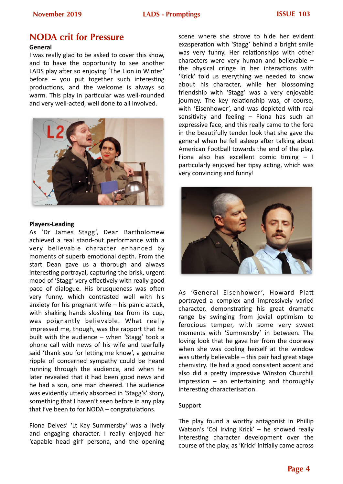#### **November 2019 LADS - Promptings ISSUE 103**

## **NODA crit for Pressure**

#### **General**

I was really glad to be asked to cover this show, and to have the opportunity to see another LADS play after so enjoying 'The Lion in Winter' before  $-$  you put together such interesting productions, and the welcome is always so warm. This play in particular was well-rounded and very well-acted, well done to all involved.



#### **Players-Leading**

As 'Dr James Stagg', Dean Bartholomew achieved a real stand-out performance with a very believable character enhanced by moments of superb emotional depth. From the start Dean gave us a thorough and always interesting portrayal, capturing the brisk, urgent mood of 'Stagg' very effectively with really good pace of dialogue. His brusqueness was often very funny, which contrasted well with his anxiety for his pregnant wife  $-$  his panic attack, with shaking hands sloshing tea from its cup, was poignantly believable. What really impressed me, though, was the rapport that he built with the audience  $-$  when 'Stagg' took a phone call with news of his wife and tearfully said 'thank you for letting me know', a genuine ripple of concerned sympathy could be heard running through the audience, and when he later revealed that it had been good news and he had a son, one man cheered. The audience was evidently utterly absorbed in 'Stagg's' story, something that I haven't seen before in any play that I've been to for  $NODA -$  congratulations.

Fiona Delves' 'Lt Kay Summersby' was a lively and engaging character. I really enjoyed her 'capable head girl' persona, and the opening scene where she strove to hide her evident exasperation with 'Stagg' behind a bright smile was very funny. Her relationships with other characters were very human and believable  $$ the physical cringe in her interactions with 'Krick' told us everything we needed to know about his character, while her blossoming friendship with 'Stagg' was a very enjoyable journey. The key relationship was, of course, with 'Eisenhower', and was depicted with real sensitivity and feeling  $-$  Fiona has such an expressive face, and this really came to the fore in the beautifully tender look that she gave the general when he fell asleep after talking about American Football towards the end of the play. Fiona also has excellent comic timing  $-1$ particularly enjoyed her tipsy acting, which was very convincing and funny!



As 'General Eisenhower', Howard Platt portrayed a complex and impressively varied character, demonstrating his great dramatic range by swinging from jovial optimism to ferocious temper, with some very sweet moments with 'Summersby' in between. The loving look that he gave her from the doorway when she was cooling herself at the window was utterly believable  $-$  this pair had great stage chemistry. He had a good consistent accent and also did a pretty impressive Winston Churchill  $impression - an entertaining and thoroughly$ interesting characterisation.

#### Support

The play found a worthy antagonist in Phillip Watson's 'Col Irving Krick'  $-$  he showed really interesting character development over the course of the play, as 'Krick' initially came across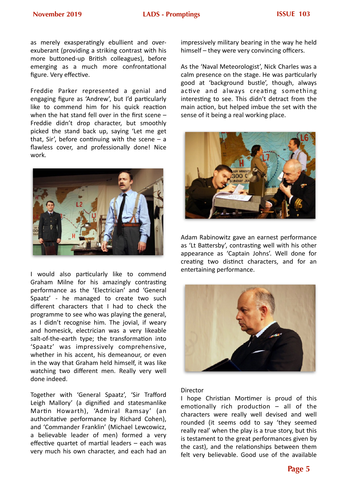as merely exasperatingly ebullient and overexuberant (providing a striking contrast with his more buttoned-up British colleagues), before emerging as a much more confrontational figure. Very effective.

Freddie Parker represented a genial and engaging figure as 'Andrew', but I'd particularly like to commend him for his quick reaction when the hat stand fell over in the first scene  $-$ Freddie didn't drop character, but smoothly picked the stand back up, saying 'Let me get that, Sir', before continuing with the scene  $-$  a flawless cover, and professionally done! Nice work. 



I would also particularly like to commend Graham Milne for his amazingly contrasting performance as the 'Electrician' and 'General Spaatz' - he managed to create two such different characters that I had to check the programme to see who was playing the general, as I didn't recognise him. The jovial, if weary and homesick, electrician was a very likeable salt-of-the-earth type; the transformation into 'Spaatz' was impressively comprehensive, whether in his accent, his demeanour, or even in the way that Graham held himself, it was like watching two different men. Really very well done indeed.

Together with 'General Spaatz', 'Sir Trafford Leigh Mallory' (a dignified and statesmanlike Martin Howarth), 'Admiral Ramsay' (an authoritative performance by Richard Cohen), and 'Commander Franklin' (Michael Lewcowicz, a believable leader of men) formed a very effective quartet of martial leaders  $-$  each was very much his own character, and each had an impressively military bearing in the way he held himself – they were very convincing officers.

As the 'Naval Meteorologist', Nick Charles was a calm presence on the stage. He was particularly good at 'background bustle', though, always active and always creating something interesting to see. This didn't detract from the main action, but helped imbue the set with the sense of it being a real working place.



Adam Rabinowitz gave an earnest performance as 'Lt Battersby', contrasting well with his other appearance as 'Captain Johns'. Well done for creating two distinct characters, and for an entertaining performance.



#### Director

I hope Christian Mortimer is proud of this emotionally rich production  $-$  all of the characters were really well devised and well rounded (it seems odd to say 'they seemed really real' when the play is a true story, but this is testament to the great performances given by the cast), and the relationships between them felt very believable. Good use of the available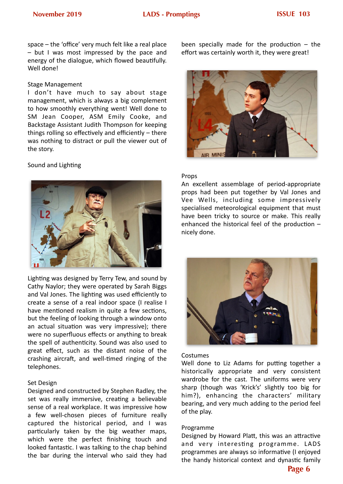space  $-$  the 'office' very much felt like a real place  $-$  but I was most impressed by the pace and energy of the dialogue, which flowed beautifully. Well done!

#### Stage Management

I don't have much to say about stage management, which is always a big complement to how smoothly everything went! Well done to SM Jean Cooper, ASM Emily Cooke, and Backstage Assistant Judith Thompson for keeping things rolling so effectively and efficiently  $-$  there was nothing to distract or pull the viewer out of the story.

#### Sound and Lighting



Lighting was designed by Terry Tew, and sound by Cathy Naylor; they were operated by Sarah Biggs and Val Jones. The lighting was used efficiently to create a sense of a real indoor space (I realise I have mentioned realism in quite a few sections, but the feeling of looking through a window onto an actual situation was very impressive); there were no superfluous effects or anything to break the spell of authenticity. Sound was also used to great effect, such as the distant noise of the crashing aircraft, and well-timed ringing of the telephones. 

#### Set Design

Designed and constructed by Stephen Radley, the set was really immersive, creating a believable sense of a real workplace. It was impressive how a few well-chosen pieces of furniture really captured the historical period, and I was particularly taken by the big weather maps, which were the perfect finishing touch and looked fantastic. I was talking to the chap behind the bar during the interval who said they had been specially made for the production  $-$  the effort was certainly worth it, they were great!



#### Props

An excellent assemblage of period-appropriate props had been put together by Val Jones and Vee Wells, including some impressively specialised meteorological equipment that must have been tricky to source or make. This really enhanced the historical feel of the production  $$ nicely done. 



#### Costumes

Well done to Liz Adams for putting together a historically appropriate and very consistent wardrobe for the cast. The uniforms were very sharp (though was 'Krick's' slightly too big for him?), enhancing the characters' military bearing, and very much adding to the period feel of the play.

#### Programme

Designed by Howard Platt, this was an attractive and very interesting programme. LADS programmes are always so informative (I enjoyed the handy historical context and dynastic family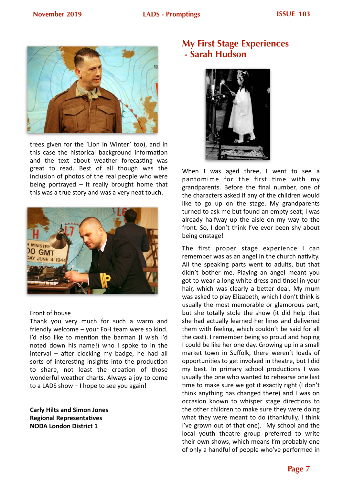

trees given for the 'Lion in Winter' too), and in this case the historical background information and the text about weather forecasting was great to read. Best of all though was the inclusion of photos of the real people who were being portrayed  $-$  it really brought home that this was a true story and was a very neat touch.



#### Front of house

Thank you very much for such a warm and friendly welcome  $-$  your FoH team were so kind. I'd also like to mention the barman (I wish I'd noted down his name!) who I spoke to in the  $interval - after clockwise$  my badge, he had all sorts of interesting insights into the production to share, not least the creation of those wonderful weather charts. Always a joy to come to a LADS show  $-1$  hope to see you again!

**Carly Hilts and Simon Jones Regional Representatives NODA London District 1** 

## **My First Stage Experiences - Sarah Hudson**



When I was aged three, I went to see a pantomime for the first time with my grandparents. Before the final number, one of the characters asked if any of the children would like to go up on the stage. My grandparents turned to ask me but found an empty seat; I was already halfway up the aisle on my way to the front. So, I don't think I've ever been shy about being onstage!

The first proper stage experience I can remember was as an angel in the church nativity. All the speaking parts went to adults, but that didn't bother me. Playing an angel meant you got to wear a long white dress and tinsel in your hair, which was clearly a better deal. My mum was asked to play Elizabeth, which I don't think is usually the most memorable or glamorous part, but she totally stole the show (it did help that she had actually learned her lines and delivered them with feeling, which couldn't be said for all the cast). I remember being so proud and hoping I could be like her one day. Growing up in a small market town in Suffolk, there weren't loads of opportunities to get involved in theatre, but I did my best. In primary school productions  $I$  was usually the one who wanted to rehearse one last time to make sure we got it exactly right (I don't think anything has changed there) and I was on occasion known to whisper stage directions to the other children to make sure they were doing what they were meant to do (thankfully, I think I've grown out of that one). My school and the local youth theatre group preferred to write their own shows, which means I'm probably one of only a handful of people who've performed in